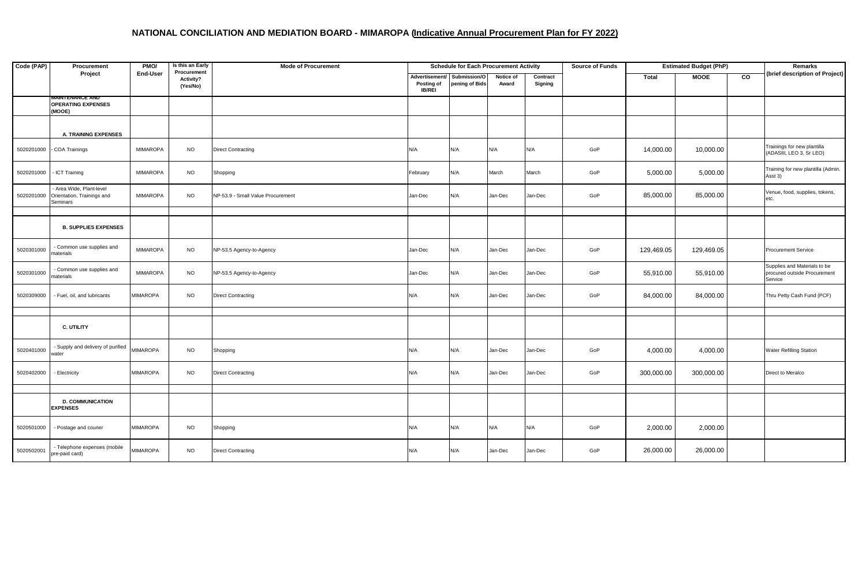## **NATIONAL CONCILIATION AND MEDIATION BOARD - MIMAROPA (Indicative Annual Procurement Plan for FY 2022)**

| Code (PAP) | Procurement                                                                 | PMO/            | Is this an Early                     | <b>Mode of Procurement</b>        | <b>Schedule for Each Procurement Activity</b> |                                               |                    |                     | <b>Source of Funds</b> | <b>Estimated Budget (PhP)</b> |             |    | Remarks                                                                 |
|------------|-----------------------------------------------------------------------------|-----------------|--------------------------------------|-----------------------------------|-----------------------------------------------|-----------------------------------------------|--------------------|---------------------|------------------------|-------------------------------|-------------|----|-------------------------------------------------------------------------|
|            | Project                                                                     | End-User        | Procurement<br>Activity?<br>(Yes/No) |                                   | Posting of<br><b>IB/REI</b>                   | Advertisement/ Submission/O<br>pening of Bids | Notice of<br>Award | Contract<br>Signing |                        | Total                         | <b>MOOE</b> | CO | (brief description of Project)                                          |
|            | WAINTENANCE AND<br><b>OPERATING EXPENSES</b><br>(MOOE)                      |                 |                                      |                                   |                                               |                                               |                    |                     |                        |                               |             |    |                                                                         |
|            | A. TRAINING EXPENSES                                                        |                 |                                      |                                   |                                               |                                               |                    |                     |                        |                               |             |    |                                                                         |
| 5020201000 | COA Trainings                                                               | <b>MIMAROPA</b> | <b>NO</b>                            | <b>Direct Contracting</b>         | N/A                                           | N/A                                           | N/A                | N/A                 | GoP                    | 14,000.00                     | 10,000.00   |    | Trainings for new plantilla<br>(ADASIII, LEO 3, Sr LEO)                 |
| 5020201000 | - ICT Training                                                              | <b>MIMAROPA</b> | <b>NO</b>                            | Shopping                          | February                                      | N/A                                           | March              | March               | GoP                    | 5,000.00                      | 5,000.00    |    | Training for new plantilla (Admin.<br>Asst 3)                           |
|            | Area Wide, Plant-level<br>5020201000 Orientation, Trainings and<br>Seminars | <b>MIMAROPA</b> | <b>NO</b>                            | NP-53.9 - Small Value Procurement | Jan-Dec                                       | N/A                                           | Jan-Dec            | Jan-Dec             | GoP                    | 85,000.00                     | 85,000.00   |    | Venue, food, supplies, tokens,<br>etc.                                  |
|            |                                                                             |                 |                                      |                                   |                                               |                                               |                    |                     |                        |                               |             |    |                                                                         |
|            | <b>B. SUPPLIES EXPENSES</b>                                                 |                 |                                      |                                   |                                               |                                               |                    |                     |                        |                               |             |    |                                                                         |
| 5020301000 | Common use supplies and<br>naterials                                        | <b>MIMAROPA</b> | <b>NO</b>                            | NP-53.5 Agency-to-Agency          | Jan-Dec                                       | N/A                                           | Jan-Dec            | Jan-Dec             | GoP                    | 129,469.05                    | 129,469.05  |    | <b>Procurement Service</b>                                              |
| 5020301000 | - Common use supplies and<br>naterials                                      | <b>MIMAROPA</b> | <b>NO</b>                            | NP-53.5 Agency-to-Agency          | Jan-Dec                                       | N/A                                           | Jan-Dec            | Jan-Dec             | GoP                    | 55,910.00                     | 55,910.00   |    | Supplies and Materials to be<br>procured outside Procurement<br>Service |
| 5020309000 | - Fuel, oil, and lubricants                                                 | MIMAROPA        | <b>NO</b>                            | <b>Direct Contracting</b>         | N/A                                           | N/A                                           | Jan-Dec            | Jan-Dec             | GoP                    | 84,000.00                     | 84,000.00   |    | Thru Petty Cash Fund (PCF)                                              |
|            |                                                                             |                 |                                      |                                   |                                               |                                               |                    |                     |                        |                               |             |    |                                                                         |
|            | C. UTILITY                                                                  |                 |                                      |                                   |                                               |                                               |                    |                     |                        |                               |             |    |                                                                         |
| 5020401000 | - Supply and delivery of purified<br>vater                                  | <b>MIMAROPA</b> | <b>NO</b>                            | Shopping                          | N/A                                           | N/A                                           | Jan-Dec            | Jan-Dec             | GoP                    | 4,000.00                      | 4,000.00    |    | <b>Water Refilling Station</b>                                          |
| 5020402000 | - Electricity                                                               | <b>MIMAROPA</b> | <b>NO</b>                            | <b>Direct Contracting</b>         | N/A                                           | N/A                                           | Jan-Dec            | Jan-Dec             | GoP                    | 300,000.00                    | 300,000.00  |    | Direct to Meralco                                                       |
|            |                                                                             |                 |                                      |                                   |                                               |                                               |                    |                     |                        |                               |             |    |                                                                         |
|            | <b>D. COMMUNICATION</b><br><b>EXPENSES</b>                                  |                 |                                      |                                   |                                               |                                               |                    |                     |                        |                               |             |    |                                                                         |
| 5020501000 | - Postage and courier                                                       | MIMAROPA        | <b>NO</b>                            | Shopping                          | N/A                                           | N/A                                           | N/A                | N/A                 | GoP                    | 2,000.00                      | 2,000.00    |    |                                                                         |
| 5020502001 | - Telephone expenses (mobile<br>pre-paid card)                              | <b>MIMAROPA</b> | <b>NO</b>                            | <b>Direct Contracting</b>         | N/A                                           | N/A                                           | Jan-Dec            | Jan-Dec             | GoP                    | 26,000.00                     | 26,000.00   |    |                                                                         |